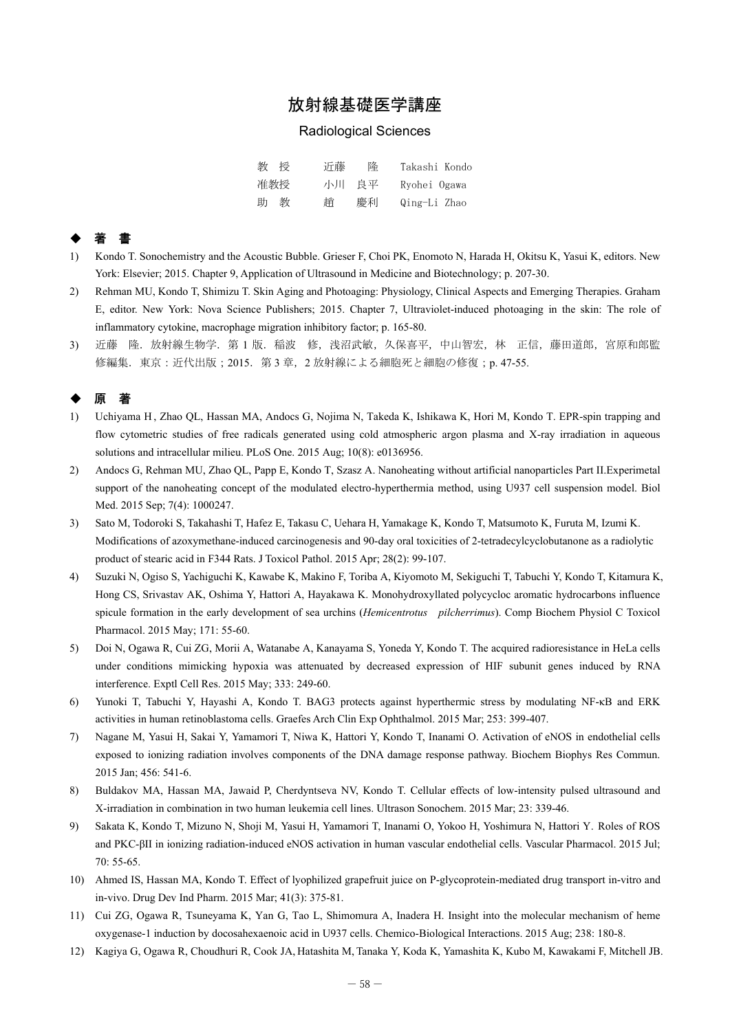# 放射線基礎医学講座

#### Radiological Sciences

| 教授  | 沂藤 | 隆     | Takashi Kondo |
|-----|----|-------|---------------|
| 准教授 |    | 小川 良平 | Ryohei Ogawa  |
| 助 教 | 誚  | 慶利    | Qing-Li Zhao  |

## ◆ 著 書

- 1) Kondo T. Sonochemistry and the Acoustic Bubble. Grieser F, Choi PK, Enomoto N, Harada H, Okitsu K, Yasui K, editors. New York: Elsevier; 2015. Chapter 9, Application of Ultrasound in Medicine and Biotechnology; p. 207-30.
- 2) Rehman MU, Kondo T, Shimizu T. Skin Aging and Photoaging: Physiology, Clinical Aspects and Emerging Therapies. Graham E, editor. New York: Nova Science Publishers; 2015. Chapter 7, Ultraviolet-induced photoaging in the skin: The role of inflammatory cytokine, macrophage migration inhibitory factor; p. 165-80.
- 3) 近藤 隆. 放射線生物学. 第 1 版. 稲波 修, 浅沼武敏, 久保喜平, 中山智宏, 林 正信, 藤田道郎, 宮原和郎監 修編集. 東京:近代出版;2015. 第3章, 2 放射線による細胞死と細胞の修復;p. 47-55.

### ◆ 原 著

- 1) Uchiyama H , Zhao QL, Hassan MA, Andocs G, Nojima N, Takeda K, Ishikawa K, Hori M, Kondo T. EPR-spin trapping and flow cytometric studies of free radicals generated using cold atmospheric argon plasma and X-ray irradiation in aqueous solutions and intracellular milieu. PLoS One. 2015 Aug; 10(8): e0136956.
- 2) Andocs G, Rehman MU, Zhao QL, Papp E, Kondo T, Szasz A. Nanoheating without artificial nanoparticles Part II.Experimetal support of the nanoheating concept of the modulated electro-hyperthermia method, using U937 cell suspension model. Biol Med. 2015 Sep; 7(4): 1000247.
- 3) Sato M, Todoroki S, Takahashi T, Hafez E, Takasu C, Uehara H, Yamakage K, Kondo T, Matsumoto K, Furuta M, Izumi K. Modifications of azoxymethane-induced carcinogenesis and 90-day oral toxicities of 2-tetradecylcyclobutanone as a radiolytic product of stearic acid in F344 Rats. J Toxicol Pathol. 2015 Apr; 28(2): 99-107.
- 4) Suzuki N, Ogiso S, Yachiguchi K, Kawabe K, Makino F, Toriba A, Kiyomoto M, Sekiguchi T, Tabuchi Y, Kondo T, Kitamura K, Hong CS, Srivastav AK, Oshima Y, Hattori A, Hayakawa K. Monohydroxyllated polycycloc aromatic hydrocarbons influence spicule formation in the early development of sea urchins (*Hemicentrotus pilcherrimus*). Comp Biochem Physiol C Toxicol Pharmacol. 2015 May; 171: 55-60.
- 5) Doi N, Ogawa R, Cui ZG, Morii A, Watanabe A, Kanayama S, Yoneda Y, Kondo T. The acquired radioresistance in HeLa cells under conditions mimicking hypoxia was attenuated by decreased expression of HIF subunit genes induced by RNA interference. Exptl Cell Res. 2015 May; 333: 249-60.
- 6) Yunoki T, Tabuchi Y, Hayashi A, Kondo T. BAG3 protects against hyperthermic stress by modulating NF-κB and ERK activities in human retinoblastoma cells. Graefes Arch Clin Exp Ophthalmol. 2015 Mar; 253: 399-407.
- 7) Nagane M, Yasui H, Sakai Y, Yamamori T, Niwa K, Hattori Y, Kondo T, Inanami O. Activation of eNOS in endothelial cells exposed to ionizing radiation involves components of the DNA damage response pathway. Biochem Biophys Res Commun. 2015 Jan; 456: 541-6.
- 8) Buldakov MA, Hassan MA, Jawaid P, Cherdyntseva NV, Kondo T. Cellular effects of low-intensity pulsed ultrasound and X-irradiation in combination in two human leukemia cell lines. Ultrason Sonochem. 2015 Mar; 23: 339-46.
- 9) Sakata K, Kondo T, Mizuno N, Shoji M, Yasui H, Yamamori T, Inanami O, Yokoo H, Yoshimura N, Hattori Y. Roles of ROS and PKC-βII in ionizing radiation-induced eNOS activation in human vascular endothelial cells. Vascular Pharmacol. 2015 Jul; 70: 55-65.
- 10) Ahmed IS, Hassan MA, Kondo T. Effect of lyophilized grapefruit juice on P-glycoprotein-mediated drug transport in-vitro and in-vivo. Drug Dev Ind Pharm. 2015 Mar; 41(3): 375-81.
- 11) Cui ZG, Ogawa R, Tsuneyama K, Yan G, Tao L, Shimomura A, Inadera H. Insight into the molecular mechanism of heme oxygenase-1 induction by docosahexaenoic acid in U937 cells. Chemico-Biological Interactions. 2015 Aug; 238: 180-8.
- 12) Kagiya G, Ogawa R, Choudhuri R, Cook JA, Hatashita M, Tanaka Y, Koda K, Yamashita K, Kubo M, Kawakami F, Mitchell JB.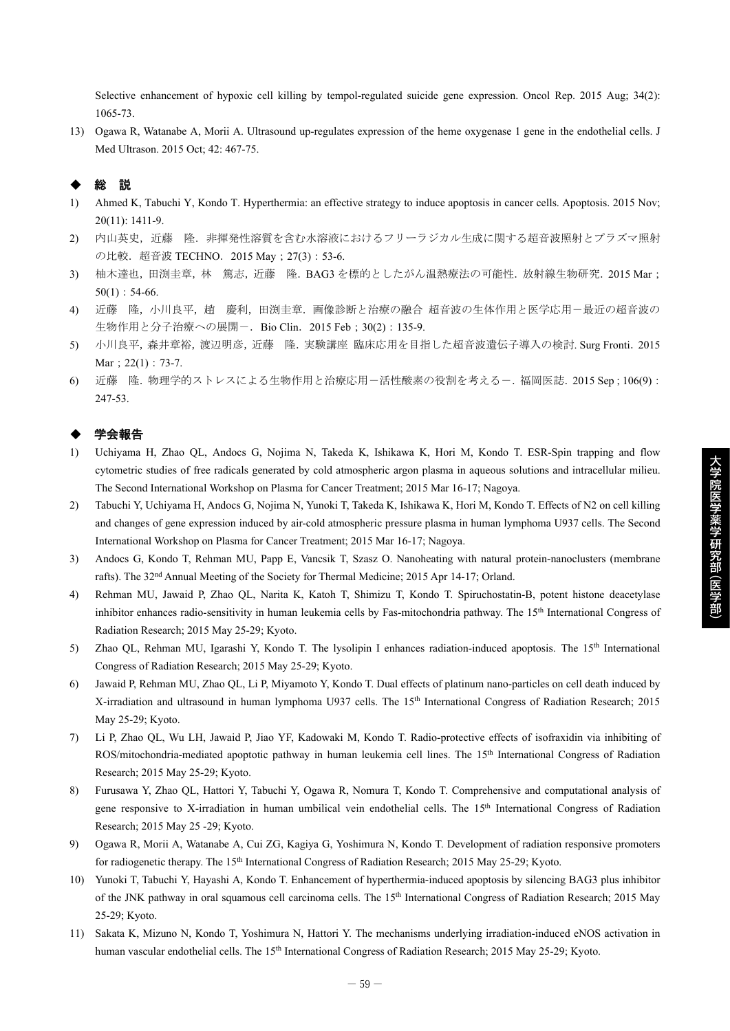Selective enhancement of hypoxic cell killing by tempol-regulated suicide gene expression. Oncol Rep. 2015 Aug; 34(2): 1065-73.

13) Ogawa R, Watanabe A, Morii A. Ultrasound up-regulates expression of the heme oxygenase 1 gene in the endothelial cells. J Med Ultrason. 2015 Oct; 42: 467-75.

### ◆ 総 説

- 1) Ahmed K, Tabuchi Y, Kondo T. Hyperthermia: an effective strategy to induce apoptosis in cancer cells. Apoptosis. 2015 Nov; 20(11): 1411-9.
- 2) 内山英史,近藤 隆. 非揮発性溶質を含む水溶液におけるフリーラジカル生成に関する超音波照射とプラズマ照射 の比較. 超音波 TECHNO. 2015 May ; 27(3): 53-6.
- 3) 柚木達也,田渕圭章,林 篤志,近藤 隆. BAG3 を標的としたがん温熱療法の可能性. 放射線生物研究. 2015 Mar;  $50(1): 54-66.$
- 4) 近藤 隆,小川良平,趙 慶利,田渕圭章.画像診断と治療の融合 超音波の生体作用と医学応用-最近の超音波の 生物作用と分子治療への展開-. Bio Clin. 2015 Feb; 30(2): 135-9.
- 5) 小川良平,森井章裕,渡辺明彦,近藤 隆.実験講座 臨床応用を目指した超音波遺伝子導入の検討. Surg Fronti.2015 Mar; 22(1): 73-7.
- 6) 近藤 隆.物理学的ストレスによる生物作用と治療応用-活性酸素の役割を考える-.福岡医誌.2015 Sep;106(9): 247-53.

#### ◆ 学会報告

- 1) Uchiyama H, Zhao QL, Andocs G, Nojima N, Takeda K, Ishikawa K, Hori M, Kondo T. ESR-Spin trapping and flow cytometric studies of free radicals generated by cold atmospheric argon plasma in aqueous solutions and intracellular milieu. The Second International Workshop on Plasma for Cancer Treatment; 2015 Mar 16-17; Nagoya.
- 2) Tabuchi Y, Uchiyama H, Andocs G, Nojima N, Yunoki T, Takeda K, Ishikawa K, Hori M, Kondo T. Effects of N2 on cell killing and changes of gene expression induced by air-cold atmospheric pressure plasma in human lymphoma U937 cells. The Second International Workshop on Plasma for Cancer Treatment; 2015 Mar 16-17; Nagoya.
- 3) Andocs G, Kondo T, Rehman MU, Papp E, Vancsik T, Szasz O. Nanoheating with natural protein-nanoclusters (membrane rafts). The 32nd Annual Meeting of the Society for Thermal Medicine; 2015 Apr 14-17; Orland.
- 4) Rehman MU, Jawaid P, Zhao QL, Narita K, Katoh T, Shimizu T, Kondo T. Spiruchostatin-B, potent histone deacetylase inhibitor enhances radio-sensitivity in human leukemia cells by Fas-mitochondria pathway. The 15th International Congress of Radiation Research; 2015 May 25-29; Kyoto.
- 5) Zhao QL, Rehman MU, Igarashi Y, Kondo T. The lysolipin I enhances radiation-induced apoptosis. The 15th International Congress of Radiation Research; 2015 May 25-29; Kyoto.
- 6) Jawaid P, Rehman MU, Zhao QL, Li P, Miyamoto Y, Kondo T. Dual effects of platinum nano-particles on cell death induced by X-irradiation and ultrasound in human lymphoma U937 cells. The 15<sup>th</sup> International Congress of Radiation Research; 2015 May 25-29; Kyoto.
- 7) Li P, Zhao QL, Wu LH, Jawaid P, Jiao YF, Kadowaki M, Kondo T. Radio-protective effects of isofraxidin via inhibiting of ROS/mitochondria-mediated apoptotic pathway in human leukemia cell lines. The 15th International Congress of Radiation Research; 2015 May 25-29; Kyoto.
- 8) Furusawa Y, Zhao QL, Hattori Y, Tabuchi Y, Ogawa R, Nomura T, Kondo T. Comprehensive and computational analysis of gene responsive to X-irradiation in human umbilical vein endothelial cells. The 15<sup>th</sup> International Congress of Radiation Research; 2015 May 25 -29; Kyoto.
- 9) Ogawa R, Morii A, Watanabe A, Cui ZG, Kagiya G, Yoshimura N, Kondo T. Development of radiation responsive promoters for radiogenetic therapy. The 15<sup>th</sup> International Congress of Radiation Research; 2015 May 25-29; Kyoto.
- 10) Yunoki T, Tabuchi Y, Hayashi A, Kondo T. Enhancement of hyperthermia-induced apoptosis by silencing BAG3 plus inhibitor of the JNK pathway in oral squamous cell carcinoma cells. The 15th International Congress of Radiation Research; 2015 May 25-29; Kyoto.
- 11) Sakata K, Mizuno N, Kondo T, Yoshimura N, Hattori Y. The mechanisms underlying irradiation-induced eNOS activation in human vascular endothelial cells. The 15<sup>th</sup> International Congress of Radiation Research; 2015 May 25-29; Kyoto.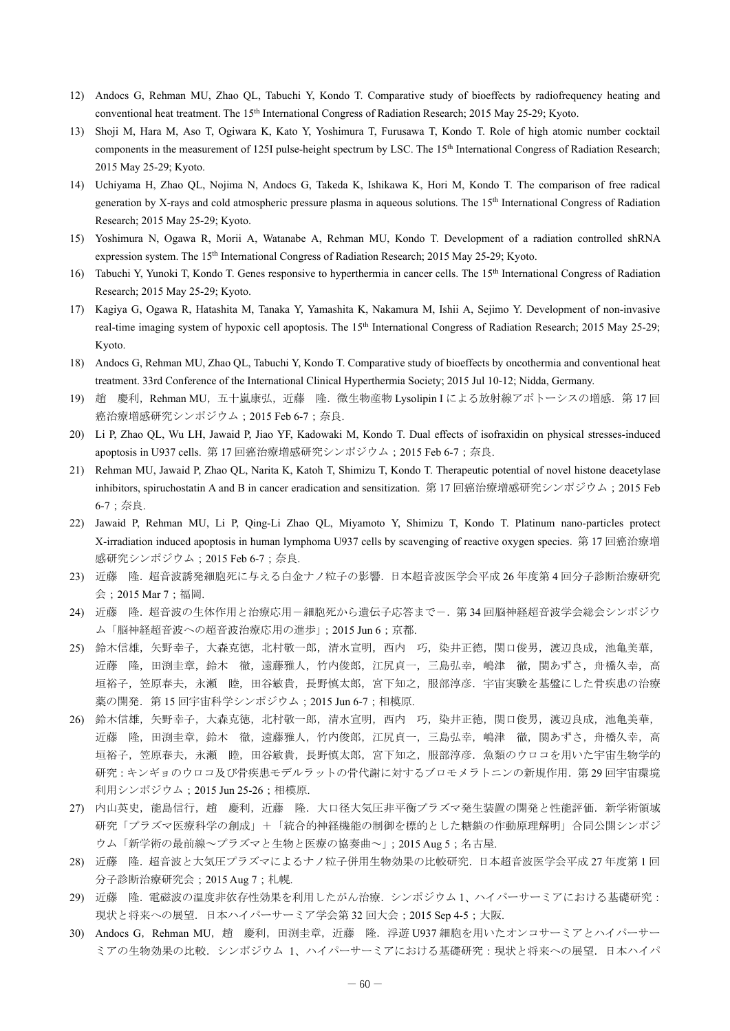- 12) Andocs G, Rehman MU, Zhao QL, Tabuchi Y, Kondo T. Comparative study of bioeffects by radiofrequency heating and conventional heat treatment. The 15th International Congress of Radiation Research; 2015 May 25-29; Kyoto.
- 13) Shoji M, Hara M, Aso T, Ogiwara K, Kato Y, Yoshimura T, Furusawa T, Kondo T. Role of high atomic number cocktail components in the measurement of 125I pulse-height spectrum by LSC. The 15th International Congress of Radiation Research; 2015 May 25-29; Kyoto.
- 14) Uchiyama H, Zhao QL, Nojima N, Andocs G, Takeda K, Ishikawa K, Hori M, Kondo T. The comparison of free radical generation by X-rays and cold atmospheric pressure plasma in aqueous solutions. The 15th International Congress of Radiation Research; 2015 May 25-29; Kyoto.
- 15) Yoshimura N, Ogawa R, Morii A, Watanabe A, Rehman MU, Kondo T. Development of a radiation controlled shRNA expression system. The 15th International Congress of Radiation Research; 2015 May 25-29; Kyoto.
- 16) Tabuchi Y, Yunoki T, Kondo T. Genes responsive to hyperthermia in cancer cells. The 15th International Congress of Radiation Research; 2015 May 25-29; Kyoto.
- 17) Kagiya G, Ogawa R, Hatashita M, Tanaka Y, Yamashita K, Nakamura M, Ishii A, Sejimo Y. Development of non-invasive real-time imaging system of hypoxic cell apoptosis. The 15<sup>th</sup> International Congress of Radiation Research; 2015 May 25-29; Kyoto.
- 18) Andocs G, Rehman MU, Zhao QL, Tabuchi Y, Kondo T. Comparative study of bioeffects by oncothermia and conventional heat treatment. 33rd Conference of the International Clinical Hyperthermia Society; 2015 Jul 10-12; Nidda, Germany.
- 19) 趙 慶利, Rehman MU, 五十嵐康弘, 近藤 隆. 微生物産物 Lysolipin I による放射線アポトーシスの増感. 第 17 回 癌治療増感研究シンポジウム;2015 Feb 6-7;奈良.
- 20) Li P, Zhao QL, Wu LH, Jawaid P, Jiao YF, Kadowaki M, Kondo T. Dual effects of isofraxidin on physical stresses-induced apoptosis in U937 cells. 第 17 回癌治療増感研究シンポジウム;2015 Feb 6-7;奈良.
- 21) Rehman MU, Jawaid P, Zhao QL, Narita K, Katoh T, Shimizu T, Kondo T. Therapeutic potential of novel histone deacetylase inhibitors, spiruchostatin A and B in cancer eradication and sensitization. 第 17 回癌治療増感研究シンポジウム;2015 Feb 6-7;奈良.
- 22) Jawaid P, Rehman MU, Li P, Qing-Li Zhao QL, Miyamoto Y, Shimizu T, Kondo T. Platinum nano-particles protect X-irradiation induced apoptosis in human lymphoma U937 cells by scavenging of reactive oxygen species. 第 17 回癌治療増 感研究シンポジウム;2015 Feb 6-7;奈良.
- 23) 近藤 隆.超音波誘発細胞死に与える白金ナノ粒子の影響.日本超音波医学会平成 26 年度第 4 回分子診断治療研究 会;2015 Mar 7;福岡.
- 24) 近藤 隆.超音波の生体作用と治療応用-細胞死から遺伝子応答まで-.第 34 回脳神経超音波学会総会シンポジウ ム「脳神経超音波への超音波治療応用の進歩」;2015 Jun 6;京都.
- 25) 鈴木信雄,矢野幸子,大森克徳,北村敬一郎,清水宣明,西内 巧,染井正徳,関口俊男,渡辺良成,池亀美華, 近藤 隆,田渕圭章,鈴木 徹,遠藤雅人,竹内俊郎,江尻貞一,三島弘幸,嶋津 徹,関あずさ,舟橋久幸,高 垣裕子,笠原春夫,永瀬 睦,田谷敏貴,長野慎太郎,宮下知之,服部淳彦.宇宙実験を基盤にした骨疾患の治療 薬の開発. 第 15 回宇宙科学シンポジウム; 2015 Jun 6-7; 相模原.
- 26) 鈴木信雄,矢野幸子,大森克徳,北村敬一郎,清水宣明,西内 巧,染井正徳,関口俊男,渡辺良成,池亀美華, 近藤 隆,田渕圭章,鈴木 徹,遠藤雅人,竹内俊郎,江尻貞一,三島弘幸,嶋津 徹,関あずさ,舟橋久幸,高 垣裕子,笠原春夫,永瀬 睦,田谷敏貴,長野慎太郎,宮下知之,服部淳彦. 魚類のウロコを用いた宇宙生物学的 研究:キンギョのウロコ及び骨疾患モデルラットの骨代謝に対するブロモメラトニンの新規作用.第 29 回宇宙環境 利用シンポジウム;2015 Jun 25-26;相模原.
- 27) 内山英史,能島信行,趙 慶利,近藤 隆. 大口径大気圧非平衡プラズマ発生装置の開発と性能評価. 新学術領域 研究「プラズマ医療科学の創成」+「統合的神経機能の制御を標的とした糖鎖の作動原理解明」合同公開シンポジ ウム「新学術の最前線~プラズマと生物と医療の協奏曲~」;2015 Aug 5;名古屋.
- 28) 近藤 隆.超音波と大気圧プラズマによるナノ粒子併用生物効果の比較研究.日本超音波医学会平成 27 年度第 1 回 分子診断治療研究会;2015 Aug 7;札幌.
- 29) 近藤 隆.電磁波の温度非依存性効果を利用したがん治療.シンポジウム 1、ハイパーサーミアにおける基礎研究: 現状と将来への展望. 日本ハイパーサーミア学会第 32 回大会;2015 Sep 4-5;大阪.
- 30) Andocs G, Rehman MU, 趙 慶利, 田渕圭章, 近藤 隆. 浮遊 U937 細胞を用いたオンコサーミアとハイパーサー ミアの生物効果の比較. シンポジウム 1、ハイパーサーミアにおける基礎研究:現状と将来への展望. 日本ハイパ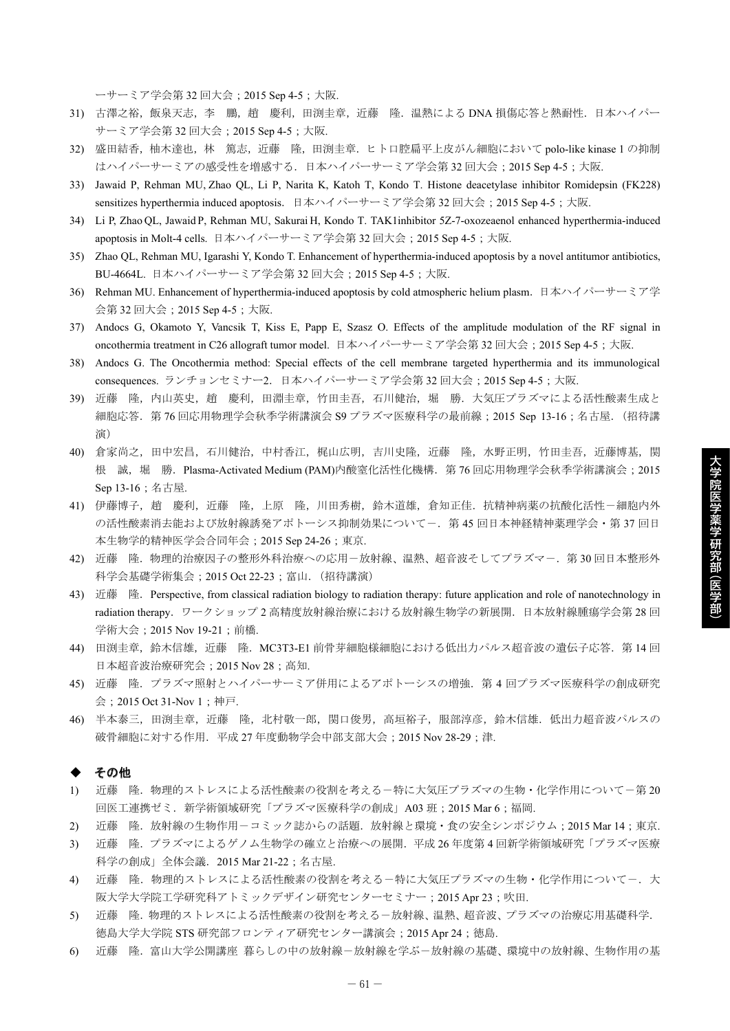ーサーミア学会第 32 回大会;2015 Sep 4-5;大阪.

- 31) 古澤之裕,飯泉天志,李 鵬,趙 慶利,田渕圭章,近藤 隆. 温熱による DNA 損傷応答と熱耐性. 日本ハイパー サーミア学会第 32 回大会;2015 Sep 4-5;大阪.
- 32) 盛田結香,柚木達也,林 篤志,近藤 隆,田渕圭章.ヒト口腔扁平上皮がん細胞において polo-like kinase 1 の抑制 はハイパーサーミアの感受性を増感する. 日本ハイパーサーミア学会第32回大会;2015 Sep 4-5;大阪.
- 33) Jawaid P, Rehman MU, Zhao QL, Li P, Narita K, Katoh T, Kondo T. Histone deacetylase inhibitor Romidepsin (FK228) sensitizes hyperthermia induced apoptosis.日本ハイパーサーミア学会第 32 回大会;2015 Sep 4-5;大阪.
- 34) Li P, Zhao QL, Jawaid P, Rehman MU, Sakurai H, Kondo T. TAK1inhibitor 5Z-7-oxozeaenol enhanced hyperthermia-induced apoptosis in Molt-4 cells. 日本ハイパーサーミア学会第 32 回大会;2015 Sep 4-5;大阪.
- 35) Zhao QL, Rehman MU, Igarashi Y, Kondo T. Enhancement of hyperthermia-induced apoptosis by a novel antitumor antibiotics, BU-4664L. 日本ハイパーサーミア学会第 32 回大会;2015 Sep 4-5;大阪.
- 36) Rehman MU. Enhancement of hyperthermia-induced apoptosis by cold atmospheric helium plasm.日本ハイパーサーミア学 会第 32 回大会;2015 Sep 4-5;大阪.
- 37) Andocs G, Okamoto Y, Vancsik T, Kiss E, Papp E, Szasz O. Effects of the amplitude modulation of the RF signal in oncothermia treatment in C26 allograft tumor model. 日本ハイパーサーミア学会第 32 回大会;2015 Sep 4-5;大阪.
- 38) Andocs G. The Oncothermia method: Special effects of the cell membrane targeted hyperthermia and its immunological consequences. ランチョンセミナー2. 日本ハイパーサーミア学会第 32 回大会;2015 Sep 4-5;大阪.
- 39) 近藤 降, 内山英史, 趙 慶利, 田淵丰章, 竹田圭吾, 石川健治, 堀 勝, 大気圧プラズマによる活性酸素生成と 細胞応答.第 76 回応用物理学会秋季学術講演会 S9 プラズマ医療科学の最前線;2015 Sep 13-16;名古屋.(招待講 演)
- 40) 倉家尚之,田中宏昌,石川健治,中村香江,梶山広明,吉川史隆,近藤 隆,水野正明,竹田圭吾,近藤博基,関 根 誠,堀 勝. Plasma-Activated Medium (PAM)内酸窒化活性化機構. 第 76 回応用物理学会秋季学術講演会; 2015 Sep 13-16;名古屋.
- 41) 伊藤博子,趙 慶利,近藤 隆,上原 隆,川田秀樹,鈴木道雄,倉知正佳.抗精神病薬の抗酸化活性-細胞内外 の活性酸素消去能および放射線誘発アポトーシス抑制効果についてー. 第 45 回日本神経精神薬理学会・第 37 回日 本生物学的精神医学会合同年会;2015 Sep 24-26;東京.
- 42) 近藤 隆. 物理的治療因子の整形外科治療への応用ー放射線、温熱、超音波そしてプラズマー. 第30回日本整形外 科学会基礎学術集会;2015 Oct 22-23;富山.(招待講演)
- 43) 近藤 隆. Perspective, from classical radiation biology to radiation therapy: future application and role of nanotechnology in radiation therapy. ワークショップ 2 高精度放射線治療における放射線生物学の新展開. 日本放射線腫瘍学会第 28 回 学術大会;2015 Nov 19-21;前橋.
- 44) 田渕圭章,鈴木信雄,近藤 隆. MC3T3-E1 前骨芽細胞様細胞における低出力パルス超音波の遺伝子応答. 第14回 日本超音波治療研究会;2015 Nov 28;高知.
- 45) 近藤 隆. プラズマ照射とハイパーサーミア併用によるアポトーシスの増強. 第4回プラズマ医療科学の創成研究 会;2015 Oct 31-Nov 1;神戸.
- 46) 半本泰三,田渕圭章,近藤 隆,北村敬一郎,関口俊男,高垣裕子,服部淳彦,鈴木信雄.低出力超音波パルスの 破骨細胞に対する作用. 平成 27 年度動物学会中部支部大会;2015 Nov 28-29;津.

#### その他

- 1) 近藤 降. 物理的ストレスによる活性酸素の役割を考える一特に大気圧プラズマの生物・化学作用について一第20 回医工連携ゼミ. 新学術領域研究「プラズマ医療科学の創成」A03 班; 2015 Mar 6;福岡.
- 2) 近藤 隆.放射線の生物作用-コミック誌からの話題.放射線と環境・食の安全シンポジウム;2015 Mar 14;東京.
- 3) 近藤 隆.プラズマによるゲノム生物学の確立と治療への展開.平成 26 年度第 4 回新学術領域研究「プラズマ医療 科学の創成」全体会議.2015 Mar 21-22;名古屋.
- 4) 近藤 降. 物理的ストレスによる活性酸素の役割を考える一特に大気圧プラズマの生物・化学作用についてー.大 阪大学大学院工学研究科アトミックデザイン研究センターセミナー;2015 Apr 23;吹田.
- 5) 近藤 隆.物理的ストレスによる活性酸素の役割を考える-放射線、温熱、超音波、プラズマの治療応用基礎科学. 徳島大学大学院 STS 研究部フロンティア研究センター講演会;2015 Apr 24;徳島.
- 6) 近藤 隆.富山大学公開講座 暮らしの中の放射線-放射線を学ぶ-放射線の基礎、環境中の放射線、生物作用の基